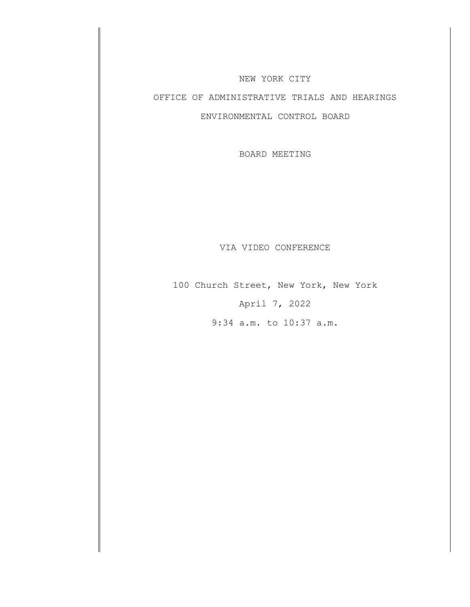#### NEW YORK CITY

# OFFICE OF ADMINISTRATIVE TRIALS AND HEARINGS

### ENVIRONMENTAL CONTROL BOARD

BOARD MEETING

#### VIA VIDEO CONFERENCE

100 Church Street, New York, New York April 7, 2022

9:34 a.m. to 10:37 a.m.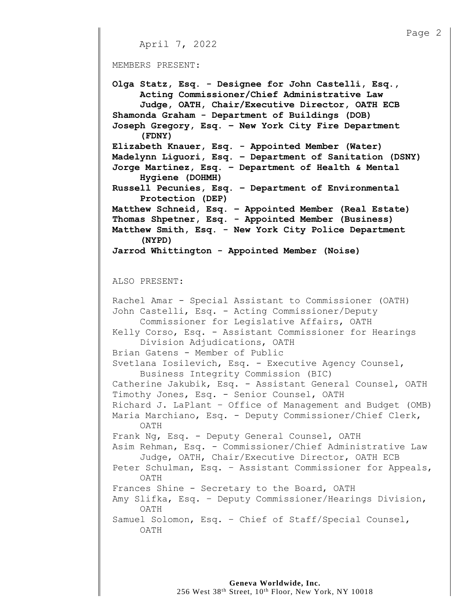#### MEMBERS PRESENT:

**Olga Statz, Esq. - Designee for John Castelli, Esq., Acting Commissioner/Chief Administrative Law Judge, OATH, Chair/Executive Director, OATH ECB Shamonda Graham - Department of Buildings (DOB) Joseph Gregory, Esq. – New York City Fire Department (FDNY) Elizabeth Knauer, Esq. - Appointed Member (Water) Madelynn Liguori, Esq. – Department of Sanitation (DSNY) Jorge Martinez, Esq. – Department of Health & Mental Hygiene (DOHMH) Russell Pecunies, Esq. – Department of Environmental Protection (DEP) Matthew Schneid, Esq. – Appointed Member (Real Estate) Thomas Shpetner, Esq. - Appointed Member (Business) Matthew Smith, Esq. - New York City Police Department (NYPD) Jarrod Whittington - Appointed Member (Noise)**

#### ALSO PRESENT:

Rachel Amar - Special Assistant to Commissioner (OATH) John Castelli, Esq. - Acting Commissioner/Deputy Commissioner for Legislative Affairs, OATH Kelly Corso, Esq. - Assistant Commissioner for Hearings Division Adjudications, OATH Brian Gatens - Member of Public Svetlana Iosilevich, Esq. - Executive Agency Counsel, Business Integrity Commission (BIC) Catherine Jakubik, Esq. - Assistant General Counsel, OATH Timothy Jones, Esq. - Senior Counsel, OATH Richard J. LaPlant – Office of Management and Budget (OMB) Maria Marchiano, Esq. - Deputy Commissioner/Chief Clerk, OATH Frank Ng, Esq. - Deputy General Counsel, OATH Asim Rehman, Esq. - Commissioner/Chief Administrative Law Judge, OATH, Chair/Executive Director, OATH ECB Peter Schulman, Esq. – Assistant Commissioner for Appeals, OATH Frances Shine - Secretary to the Board, OATH Amy Slifka, Esq. – Deputy Commissioner/Hearings Division, OATH Samuel Solomon, Esq. – Chief of Staff/Special Counsel, OATH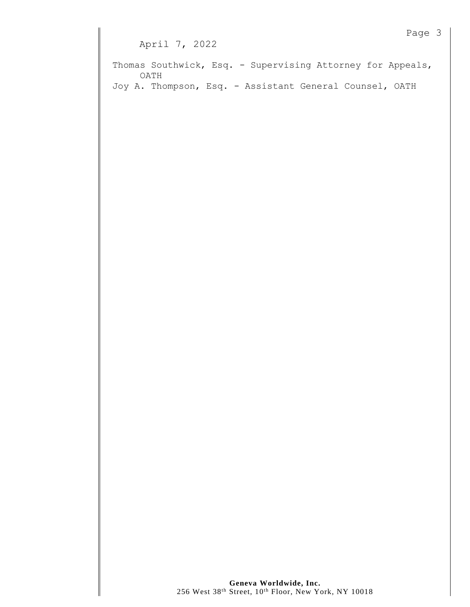Thomas Southwick, Esq. - Supervising Attorney for Appeals, OATH Joy A. Thompson, Esq. - Assistant General Counsel, OATH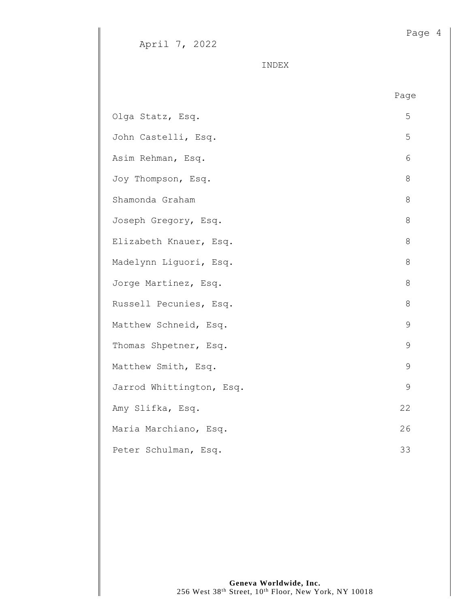INDEX

|                          | Page |
|--------------------------|------|
| Olga Statz, Esq.         | 5    |
| John Castelli, Esq.      | 5    |
| Asim Rehman, Esq.        | 6    |
| Joy Thompson, Esq.       | 8    |
| Shamonda Graham          | 8    |
| Joseph Gregory, Esq.     | 8    |
| Elizabeth Knauer, Esq.   | 8    |
| Madelynn Liquori, Esq.   | 8    |
| Jorge Martinez, Esq.     | 8    |
| Russell Pecunies, Esq.   | 8    |
| Matthew Schneid, Esq.    | 9    |
| Thomas Shpetner, Esq.    | 9    |
| Matthew Smith, Esq.      | 9    |
| Jarrod Whittington, Esq. | 9    |
| Amy Slifka, Esq.         | 22   |
| Maria Marchiano, Esq.    | 26   |
| Peter Schulman, Esq.     | 33   |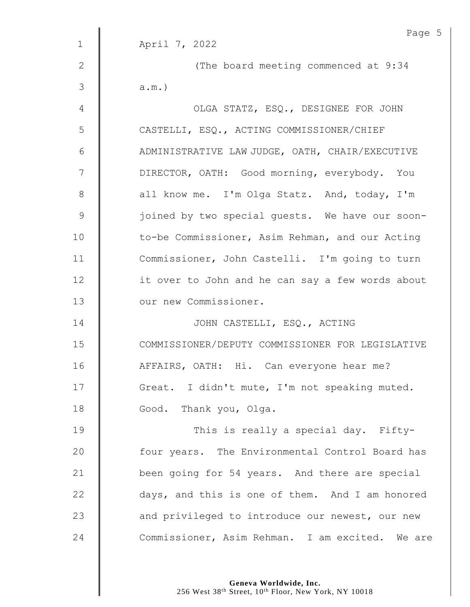|                | Page 5                                           |  |  |
|----------------|--------------------------------------------------|--|--|
| $\mathbf{1}$   | April 7, 2022                                    |  |  |
| $\mathbf{2}$   | (The board meeting commenced at 9:34             |  |  |
| $\mathfrak{Z}$ | $a.m.$ )                                         |  |  |
| 4              | OLGA STATZ, ESQ., DESIGNEE FOR JOHN              |  |  |
| 5              | CASTELLI, ESQ., ACTING COMMISSIONER/CHIEF        |  |  |
| 6              | ADMINISTRATIVE LAW JUDGE, OATH, CHAIR/EXECUTIVE  |  |  |
| 7              | DIRECTOR, OATH: Good morning, everybody. You     |  |  |
| $8\,$          | all know me. I'm Olga Statz. And, today, I'm     |  |  |
| $\mathsf 9$    | joined by two special quests. We have our soon-  |  |  |
| 10             | to-be Commissioner, Asim Rehman, and our Acting  |  |  |
| 11             | Commissioner, John Castelli. I'm going to turn   |  |  |
| 12             | it over to John and he can say a few words about |  |  |
| 13             | our new Commissioner.                            |  |  |
| 14             | JOHN CASTELLI, ESQ., ACTING                      |  |  |
| 15             | COMMISSIONER/DEPUTY COMMISSIONER FOR LEGISLATIVE |  |  |
| 16             | AFFAIRS, OATH: Hi. Can everyone hear me?         |  |  |
| 17             | Great. I didn't mute, I'm not speaking muted.    |  |  |
| 18             | Good. Thank you, Olga.                           |  |  |
| 19             | This is really a special day. Fifty-             |  |  |
| 20             | four years. The Environmental Control Board has  |  |  |
| 21             | been going for 54 years. And there are special   |  |  |
| 22             | days, and this is one of them. And I am honored  |  |  |
| 23             | and privileged to introduce our newest, our new  |  |  |
| 24             | Commissioner, Asim Rehman. I am excited. We are  |  |  |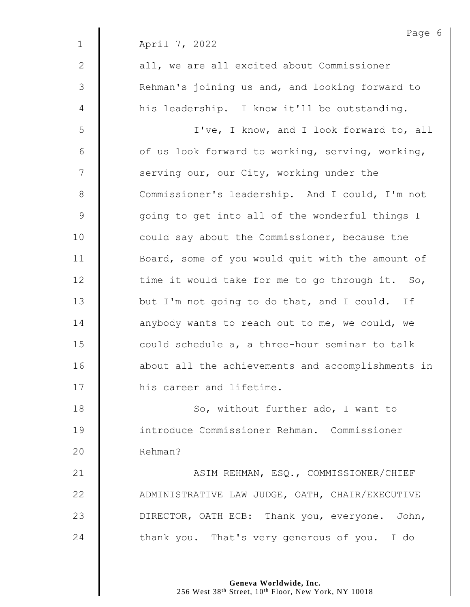Page 6 1 April 7, 2022 2 || all, we are all excited about Commissioner 3 | Rehman's joining us and, and looking forward to 4 | his leadership. I know it'll be outstanding. 5 || I've, I know, and I look forward to, all  $6 \parallel$  of us look forward to working, serving, working, 7 | serving our, our City, working under the 8 Commissioner's leadership. And I could, I'm not 9 | qoing to get into all of the wonderful things I 10 **deg** could say about the Commissioner, because the 11 | Board, some of you would quit with the amount of  $12$   $\parallel$  time it would take for me to go through it. So, 13 U but I'm not going to do that, and I could. If 14 **anybody wants to reach out to me, we could, we** 15 **could schedule a, a three-hour seminar to talk** 16 | about all the achievements and accomplishments in 17 | his career and lifetime. 18 | So, without further ado, I want to 19 introduce Commissioner Rehman. Commissioner 20 | Rehman? 21 | ASIM REHMAN, ESO., COMMISSIONER/CHIEF 22 ADMINISTRATIVE LAW JUDGE, OATH, CHAIR/EXECUTIVE 23 **DIRECTOR, OATH ECB:** Thank you, everyone. John, 24 **thank you.** That's very generous of you. I do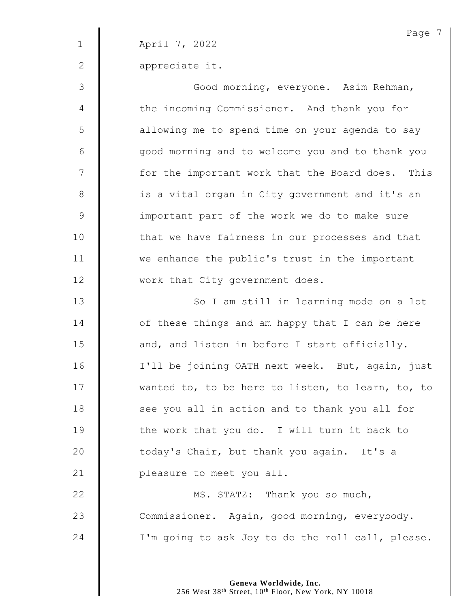Page 7 1 April 7, 2022 2 **appreciate it.** 3 || Good morning, everyone. Asim Rehman, 4 | the incoming Commissioner. And thank you for 5 | allowing me to spend time on your agenda to say 6 || good morning and to welcome you and to thank you 7 | for the important work that the Board does. This 8 | is a vital organ in City government and it's an 9 | important part of the work we do to make sure 10 | that we have fairness in our processes and that 11 we enhance the public's trust in the important 12 | work that City government does. 13 || So I am still in learning mode on a lot 14 **deger** of these things and am happy that I can be here  $15$   $\parallel$  and, and listen in before I start officially. 16 | I'll be joining OATH next week. But, again, just 17 | wanted to, to be here to listen, to learn, to, to 18 **S** see you all in action and to thank you all for 19 The work that you do. I will turn it back to 20 | today's Chair, but thank you again. It's a 21 **| pleasure to meet you all.** 22 | MS. STATZ: Thank you so much, 23 Commissioner. Again, good morning, everybody. 24  $\parallel$  I'm going to ask Joy to do the roll call, please.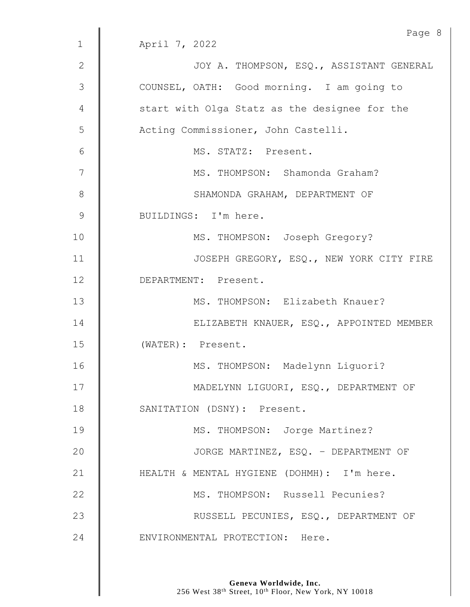|               | Page 8                                        |
|---------------|-----------------------------------------------|
| $\mathbf{1}$  | April 7, 2022                                 |
| 2             | JOY A. THOMPSON, ESQ., ASSISTANT GENERAL      |
| 3             | COUNSEL, OATH: Good morning. I am going to    |
| 4             | start with Olga Statz as the designee for the |
| 5             | Acting Commissioner, John Castelli.           |
| 6             | MS. STATZ: Present.                           |
| 7             | MS. THOMPSON: Shamonda Graham?                |
| $8\,$         | SHAMONDA GRAHAM, DEPARTMENT OF                |
| $\mathcal{G}$ | BUILDINGS: I'm here.                          |
| 10            | MS. THOMPSON: Joseph Gregory?                 |
| 11            | JOSEPH GREGORY, ESQ., NEW YORK CITY FIRE      |
| 12            | DEPARTMENT: Present.                          |
| 13            | MS. THOMPSON: Elizabeth Knauer?               |
| 14            | ELIZABETH KNAUER, ESQ., APPOINTED MEMBER      |
| 15            | (WATER): Present.                             |
| 16            | MS. THOMPSON: Madelynn Liquori?               |
| 17            | MADELYNN LIGUORI, ESQ., DEPARTMENT OF         |
| 18            | SANITATION (DSNY): Present.                   |
| 19            | MS. THOMPSON: Jorge Martinez?                 |
| 20            | JORGE MARTINEZ, ESQ. - DEPARTMENT OF          |
| 21            | HEALTH & MENTAL HYGIENE (DOHMH): I'm here.    |
| 22            | MS. THOMPSON: Russell Pecunies?               |
| 23            | RUSSELL PECUNIES, ESQ., DEPARTMENT OF         |
| 24            | ENVIRONMENTAL PROTECTION: Here.               |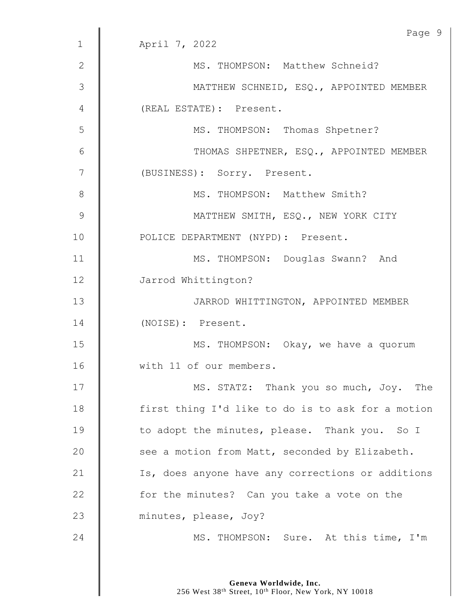|                | Page 9                                            |
|----------------|---------------------------------------------------|
| $\mathbf 1$    | April 7, 2022                                     |
| $\mathbf{2}$   | MS. THOMPSON: Matthew Schneid?                    |
| 3              | MATTHEW SCHNEID, ESQ., APPOINTED MEMBER           |
| 4              | (REAL ESTATE): Present.                           |
| 5              | MS. THOMPSON: Thomas Shpetner?                    |
| 6              | THOMAS SHPETNER, ESQ., APPOINTED MEMBER           |
| $\overline{7}$ | (BUSINESS): Sorry. Present.                       |
| 8              | MS. THOMPSON: Matthew Smith?                      |
| 9              | MATTHEW SMITH, ESQ., NEW YORK CITY                |
| 10             | POLICE DEPARTMENT (NYPD): Present.                |
| 11             | MS. THOMPSON: Douglas Swann? And                  |
| 12             | Jarrod Whittington?                               |
| 13             | JARROD WHITTINGTON, APPOINTED MEMBER              |
| 14             | (NOISE): Present.                                 |
| 15             | MS. THOMPSON: Okay, we have a quorum              |
| 16             | with 11 of our members.                           |
| 17             | MS. STATZ: Thank you so much, Joy. The            |
| 18             | first thing I'd like to do is to ask for a motion |
| 19             | to adopt the minutes, please. Thank you. So I     |
| 20             | see a motion from Matt, seconded by Elizabeth.    |
| 21             | Is, does anyone have any corrections or additions |
| 22             | for the minutes? Can you take a vote on the       |
| 23             | minutes, please, Joy?                             |
| 24             | MS. THOMPSON: Sure. At this time, I'm             |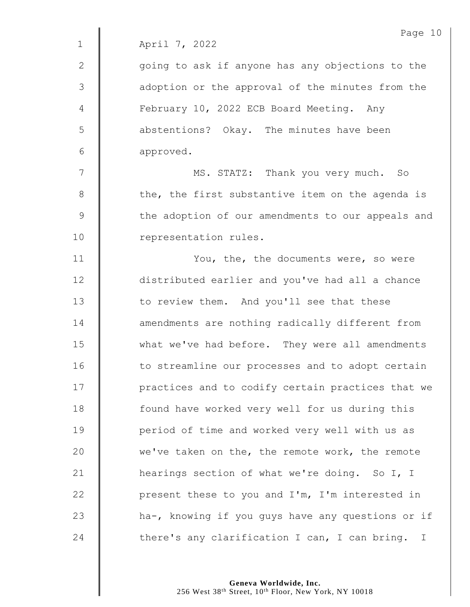|             | Page 10                                           |
|-------------|---------------------------------------------------|
| $\mathbf 1$ | April 7, 2022                                     |
| 2           | going to ask if anyone has any objections to the  |
| 3           | adoption or the approval of the minutes from the  |
| 4           | February 10, 2022 ECB Board Meeting. Any          |
| 5           | abstentions? Okay. The minutes have been          |
| 6           | approved.                                         |
| 7           | MS. STATZ: Thank you very much. So                |
| $8\,$       | the, the first substantive item on the agenda is  |
| $\mathsf 9$ | the adoption of our amendments to our appeals and |
| 10          | representation rules.                             |
| 11          | You, the, the documents were, so were             |
| 12          | distributed earlier and you've had all a chance   |
| 13          | to review them. And you'll see that these         |
| 14          | amendments are nothing radically different from   |
| 15          | what we've had before. They were all amendments   |
| 16          | to streamline our processes and to adopt certain  |
| 17          | practices and to codify certain practices that we |
| 18          | found have worked very well for us during this    |
| 19          | period of time and worked very well with us as    |
| 20          | we've taken on the, the remote work, the remote   |
| 21          | hearings section of what we're doing. So I, I     |
| 22          | present these to you and I'm, I'm interested in   |
| 23          | ha-, knowing if you guys have any questions or if |
|             |                                                   |

24 there's any clarification I can, I can bring. I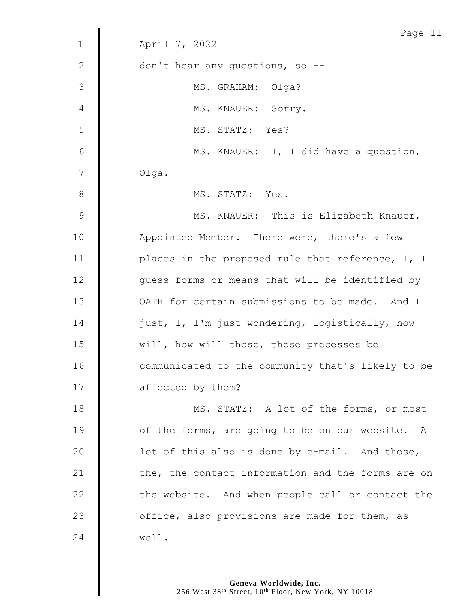| Page 11                                           |
|---------------------------------------------------|
| April 7, 2022                                     |
| don't hear any questions, so --                   |
| MS. GRAHAM: Olga?                                 |
| MS. KNAUER: Sorry.                                |
| MS. STATZ: Yes?                                   |
| MS. KNAUER: I, I did have a question,             |
| Olga.                                             |
| MS. STATZ: Yes.                                   |
| MS. KNAUER: This is Elizabeth Knauer,             |
| Appointed Member. There were, there's a few       |
| places in the proposed rule that reference, I, I  |
| guess forms or means that will be identified by   |
| OATH for certain submissions to be made. And I    |
| just, I, I'm just wondering, logistically, how    |
| will, how will those, those processes be          |
| communicated to the community that's likely to be |
| affected by them?                                 |
| MS. STATZ: A lot of the forms, or most            |
| of the forms, are going to be on our website. A   |
| lot of this also is done by e-mail. And those,    |
| the, the contact information and the forms are on |
| the website. And when people call or contact the  |
| office, also provisions are made for them, as     |
| well.                                             |
|                                                   |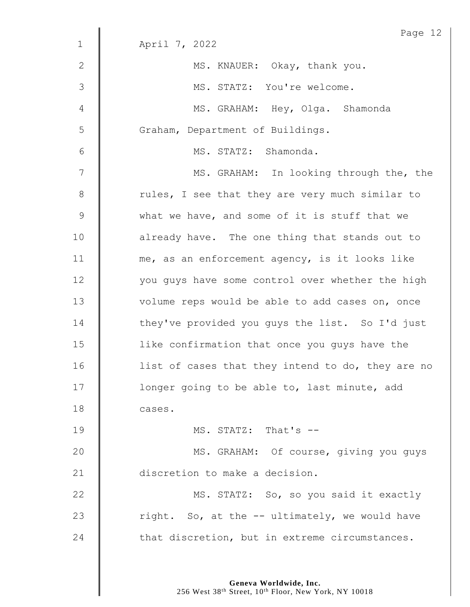|                | Page 12                                           |
|----------------|---------------------------------------------------|
| $\mathbf 1$    | April 7, 2022                                     |
| $\mathbf{2}$   | MS. KNAUER: Okay, thank you.                      |
| 3              | MS. STATZ: You're welcome.                        |
| 4              | MS. GRAHAM: Hey, Olga. Shamonda                   |
| 5              | Graham, Department of Buildings.                  |
| $6\,$          | MS. STATZ: Shamonda.                              |
| 7              | MS. GRAHAM: In looking through the, the           |
| $8\,$          | rules, I see that they are very much similar to   |
| $\overline{9}$ | what we have, and some of it is stuff that we     |
| 10             | already have. The one thing that stands out to    |
| 11             | me, as an enforcement agency, is it looks like    |
| 12             | you guys have some control over whether the high  |
| 13             | volume reps would be able to add cases on, once   |
| 14             | they've provided you guys the list. So I'd just   |
| 15             | like confirmation that once you guys have the     |
| 16             | list of cases that they intend to do, they are no |
| 17             | longer going to be able to, last minute, add      |
| 18             | cases.                                            |
| 19             | MS. STATZ: That's --                              |
| 20             | MS. GRAHAM: Of course, giving you guys            |
| 21             | discretion to make a decision.                    |
| 22             | MS. STATZ: So, so you said it exactly             |
| 23             | right. So, at the -- ultimately, we would have    |
| 24             | that discretion, but in extreme circumstances.    |
|                |                                                   |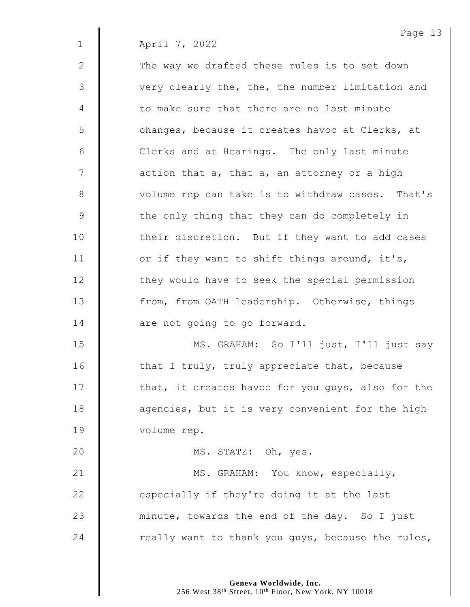2 The way we drafted these rules is to set down 3 | very clearly the, the, the number limitation and 4 formake sure that there are no last minute 5 | changes, because it creates havoc at Clerks, at 6 | Clerks and at Hearings. The only last minute  $7 \parallel$  action that a, that a, an attorney or a high 8 | volume rep can take is to withdraw cases. That's 9 the only thing that they can do completely in 10 | their discretion. But if they want to add cases 11  $\parallel$  or if they want to shift things around, it's, 12 | they would have to seek the special permission 13 Trom, from OATH leadership. Otherwise, things 14 **dec** are not going to go forward. 15 | MS. GRAHAM: So I'll just, I'll just say 16  $\parallel$  that I truly, truly appreciate that, because 17 | that, it creates havoc for you guys, also for the

18 **d** agencies, but it is very convenient for the high 19 | volume rep.

**Canadian STATZ:** Oh, yes. 21 | MS. GRAHAM: You know, especially,  $\parallel$  especially if they're doing it at the last  $\parallel$  minute, towards the end of the day. So I just  $\parallel$  really want to thank you guys, because the rules,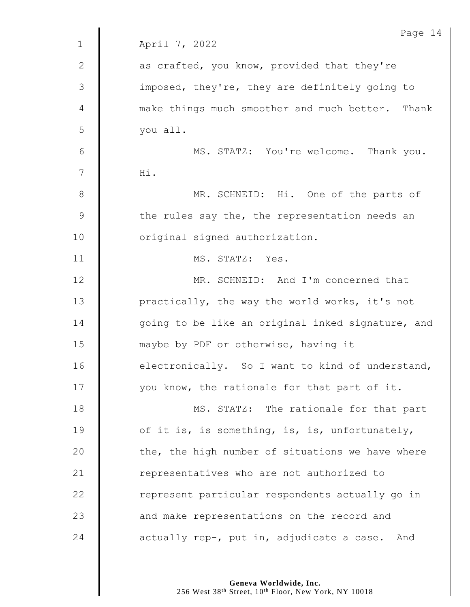|                | Page 14                                           |
|----------------|---------------------------------------------------|
| $\mathbf 1$    | April 7, 2022                                     |
| $\mathbf{2}$   | as crafted, you know, provided that they're       |
| $\mathfrak{Z}$ | imposed, they're, they are definitely going to    |
| 4              | make things much smoother and much better. Thank  |
| 5              | you all.                                          |
| 6              | MS. STATZ: You're welcome. Thank you.             |
| 7              | Hi.                                               |
| $8\,$          | MR. SCHNEID: Hi. One of the parts of              |
| $\mathsf 9$    | the rules say the, the representation needs an    |
| 10             | original signed authorization.                    |
| 11             | MS. STATZ: Yes.                                   |
| 12             | MR. SCHNEID: And I'm concerned that               |
| 13             | practically, the way the world works, it's not    |
| 14             | going to be like an original inked signature, and |
| 15             | maybe by PDF or otherwise, having it              |
| 16             | electronically. So I want to kind of understand,  |
| 17             | you know, the rationale for that part of it.      |
| 18             | MS. STATZ: The rationale for that part            |
| 19             | of it is, is something, is, is, unfortunately,    |
| 20             | the, the high number of situations we have where  |
| 21             | representatives who are not authorized to         |
| 22             | represent particular respondents actually go in   |
| 23             | and make representations on the record and        |
| 24             | actually rep-, put in, adjudicate a case. And     |

**Geneva Worldwide, Inc.**

256 West 38<sup>th</sup> Street, 10<sup>th</sup> Floor, New York, NY 10018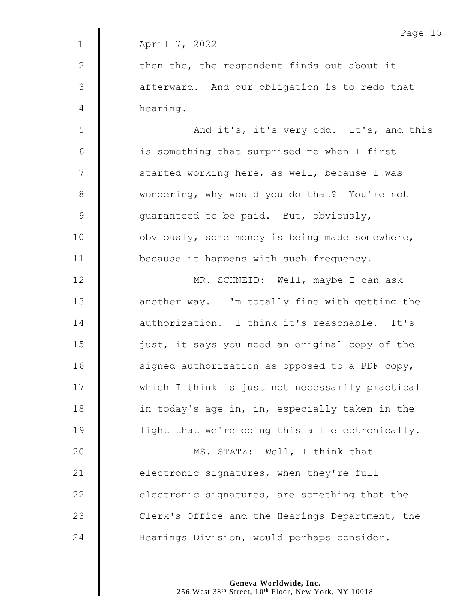|                | Page 15                                         |
|----------------|-------------------------------------------------|
| $\mathbf 1$    | April 7, 2022                                   |
| 2              | then the, the respondent finds out about it     |
| 3              | afterward. And our obligation is to redo that   |
| $\overline{4}$ | hearing.                                        |
| 5              | And it's, it's very odd. It's, and this         |
| $6\,$          | is something that surprised me when I first     |
| 7              | started working here, as well, because I was    |
| $8\,$          | wondering, why would you do that? You're not    |
| $\mathcal{G}$  | guaranteed to be paid. But, obviously,          |
| 10             | obviously, some money is being made somewhere,  |
| 11             | because it happens with such frequency.         |
| 12             | MR. SCHNEID: Well, maybe I can ask              |
| 13             | another way. I'm totally fine with getting the  |
| 14             | authorization. I think it's reasonable. It's    |
| 15             | just, it says you need an original copy of the  |
| 16             | signed authorization as opposed to a PDF copy,  |
| 17             | which I think is just not necessarily practical |
| 18             | in today's age in, in, especially taken in the  |
| 19             | light that we're doing this all electronically. |
| 20             | MS. STATZ: Well, I think that                   |
| 21             | electronic signatures, when they're full        |
| 22             | electronic signatures, are something that the   |
| 23             | Clerk's Office and the Hearings Department, the |
| 24             | Hearings Division, would perhaps consider.      |
|                |                                                 |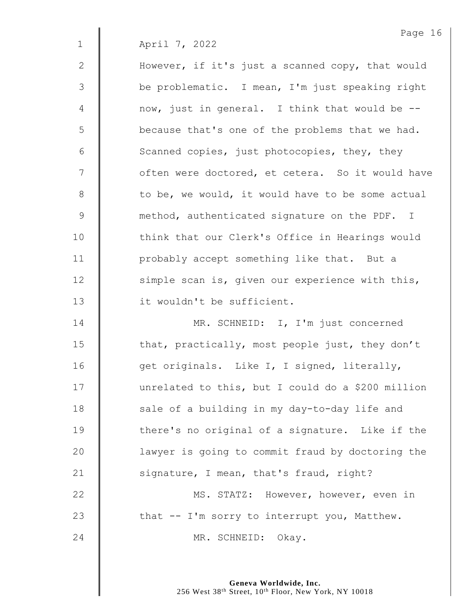2 | However, if it's just a scanned copy, that would 3 | be problematic. I mean, I'm just speaking right  $4 \parallel$  now, just in general. I think that would be  $5 \parallel$  because that's one of the problems that we had. 6  $\parallel$  Scanned copies, just photocopies, they, they 7 | often were doctored, et cetera. So it would have  $8$  | to be, we would, it would have to be some actual 9 method, authenticated signature on the PDF. I 10 Think that our Clerk's Office in Hearings would 11 | probably accept something like that. But a 12 | simple scan is, given our experience with this, 13 it wouldn't be sufficient.

14 | MR. SCHNEID: I, I'm just concerned 15  $\parallel$  that, practically, most people just, they don't 16 | get originals. Like I, I signed, literally, 17 | unrelated to this, but I could do a \$200 million  $18$   $\parallel$  sale of a building in my day-to-day life and  $19$  | there's no original of a signature. Like if the 20 | lawyer is going to commit fraud by doctoring the 21  $\parallel$  signature, I mean, that's fraud, right? 22 | MS. STATZ: However, however, even in 23  $\parallel$  that -- I'm sorry to interrupt you, Matthew.

24 | MR. SCHNEID: Okay.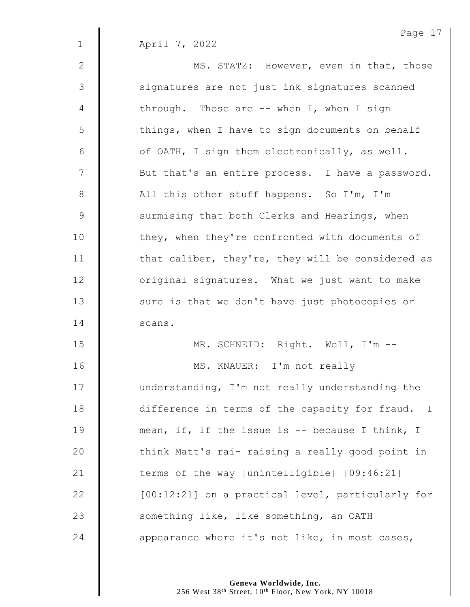2 | MS. STATZ: However, even in that, those 3 | signatures are not just ink signatures scanned 4 | through. Those are -- when I, when I sign  $5 \parallel$  things, when I have to sign documents on behalf  $6 \parallel$  of OATH, I sign them electronically, as well. 7 | But that's an entire process. I have a password. 8 | All this other stuff happens. So I'm, I'm 9 Surmising that both Clerks and Hearings, when 10 | they, when they're confronted with documents of 11  $\parallel$  that caliber, they're, they will be considered as 12 | original signatures. What we just want to make 13 | sure is that we don't have just photocopies or 14 | scans. 15 MR. SCHNEID: Right. Well, I'm -- 16 | MS. KNAUER: I'm not really

17 | understanding, I'm not really understanding the 18 difference in terms of the capacity for fraud. I 19 mean, if, if the issue is -- because I think, I 20 | think Matt's rai- raising a really good point in 21  $\parallel$  terms of the way [unintelligible]  $[09:46:21]$ 22 | [00:12:21] on a practical level, particularly for 23 Something like, like something, an OATH 24  $\parallel$  appearance where it's not like, in most cases,

> **Geneva Worldwide, Inc.** 256 West 38<sup>th</sup> Street, 10<sup>th</sup> Floor, New York, NY 10018

Page 17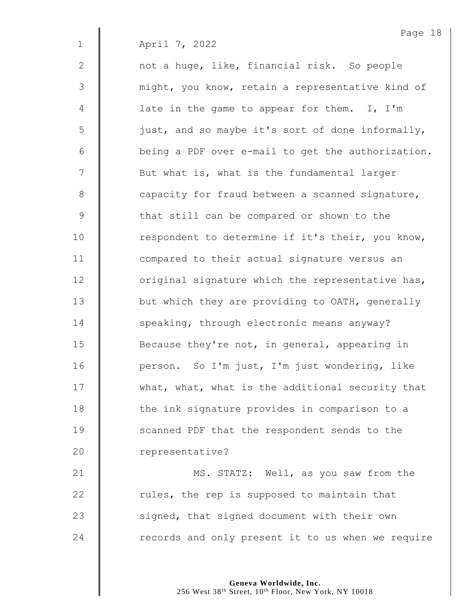2 | not a huge, like, financial risk. So people 3 | might, you know, retain a representative kind of  $4 \parallel$  late in the game to appear for them. I, I'm 5 | just, and so maybe it's sort of done informally,  $6 \parallel$  being a PDF over e-mail to get the authorization. 7 | But what is, what is the fundamental larger 8 capacity for fraud between a scanned signature, 9 | that still can be compared or shown to the  $10$  | respondent to determine if it's their, you know, 11 **I** compared to their actual signature versus an  $12$   $\parallel$  original signature which the representative has, 13 | but which they are providing to OATH, generally 14 **Speaking, through electronic means anyway?** 15 **Because they're not, in general, appearing in** 16 **Quart Exter** person. So I'm just, I'm just wondering, like 17 What, what, what is the additional security that 18 | the ink signature provides in comparison to a 19 **Scanned PDF** that the respondent sends to the 20 | representative?

**MS. STATZ:** Well, as you saw from the  $\parallel$  rules, the rep is supposed to maintain that 23 | signed, that signed document with their own | records and only present it to us when we require

> **Geneva Worldwide, Inc.** 256 West 38<sup>th</sup> Street, 10<sup>th</sup> Floor, New York, NY 10018

Page 18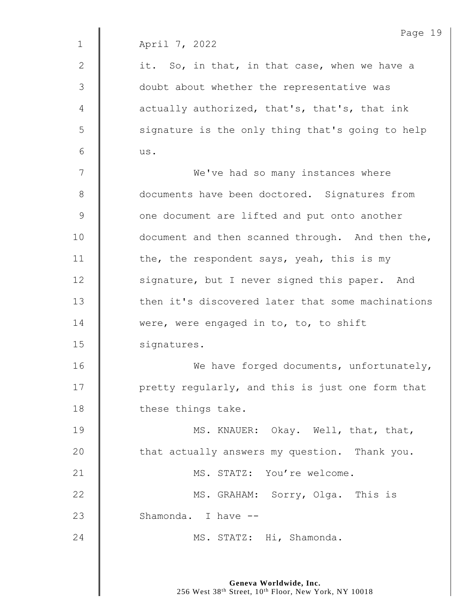2  $\parallel$  it. So, in that, in that case, when we have a 3 || doubt about whether the representative was  $4 \parallel$  actually authorized, that's, that's, that ink 5 | signature is the only thing that's going to help  $6 \parallel$  us.

7 | We've had so many instances where 8 **documents have been doctored.** Signatures from 9 | one document are lifted and put onto another 10 **document** and then scanned through. And then the, 11  $\parallel$  the, the respondent says, yeah, this is my 12 Signature, but I never signed this paper. And 13  $\parallel$  then it's discovered later that some machinations 14 **Were, were engaged in to, to, to shift** 15 | signatures. 16 | We have forged documents, unfortunately, 17 | pretty regularly, and this is just one form that 18 **these things take.** 

19 **MS. KNAUER:** Okay. Well, that, that, 20 **that actually answers my question.** Thank you. 21 | MS. STATZ: You're welcome. 22 **MS. GRAHAM:** Sorry, Olga. This is 23 | Shamonda, Thave --24 MS. STATZ: Hi, Shamonda.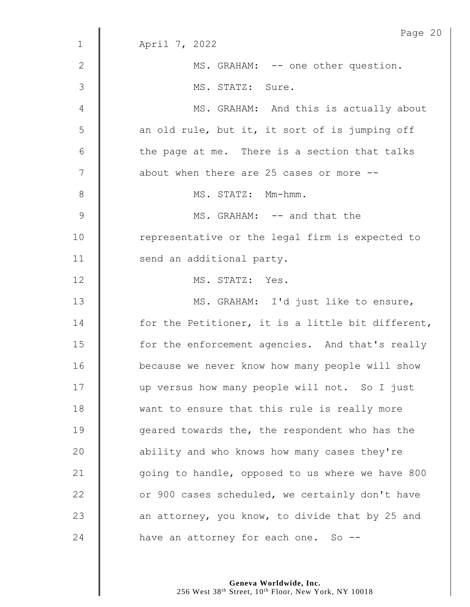|                | Page 20                                           |
|----------------|---------------------------------------------------|
| $\mathbf{1}$   | April 7, 2022                                     |
| $\mathbf{2}$   | MS. GRAHAM: -- one other question.                |
| 3              | MS. STATZ: Sure.                                  |
| 4              | MS. GRAHAM: And this is actually about            |
| 5              | an old rule, but it, it sort of is jumping off    |
| $\sqrt{6}$     | the page at me. There is a section that talks     |
| $\overline{7}$ | about when there are 25 cases or more --          |
| $8\,$          | MS. STATZ: Mm-hmm.                                |
| $\mathcal{G}$  | MS. GRAHAM: -- and that the                       |
| 10             | representative or the legal firm is expected to   |
| 11             | send an additional party.                         |
| 12             | MS. STATZ: Yes.                                   |
| 13             | MS. GRAHAM: I'd just like to ensure,              |
| 14             | for the Petitioner, it is a little bit different, |
| 15             | for the enforcement agencies. And that's really   |
| 16             | because we never know how many people will show   |
| 17             | up versus how many people will not. So I just     |
| 18             | want to ensure that this rule is really more      |
| 19             | geared towards the, the respondent who has the    |
| 20             | ability and who knows how many cases they're      |
| 21             | going to handle, opposed to us where we have 800  |
| 22             | or 900 cases scheduled, we certainly don't have   |
| 23             | an attorney, you know, to divide that by 25 and   |
| 24             | have an attorney for each one. So --              |
|                |                                                   |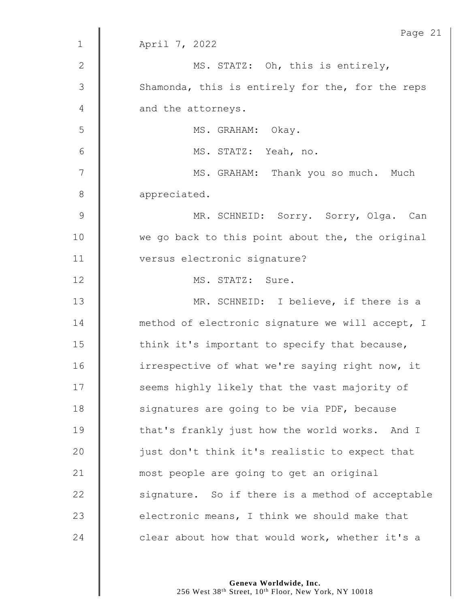|               | Page 21                                          |
|---------------|--------------------------------------------------|
| $\mathbf{1}$  | April 7, 2022                                    |
| $\mathbf{2}$  | MS. STATZ: Oh, this is entirely,                 |
| 3             | Shamonda, this is entirely for the, for the reps |
| 4             | and the attorneys.                               |
| 5             | MS. GRAHAM: Okay.                                |
| 6             | MS. STATZ: Yeah, no.                             |
| 7             | MS. GRAHAM: Thank you so much. Much              |
| $\,8\,$       | appreciated.                                     |
| $\mathcal{G}$ | MR. SCHNEID: Sorry. Sorry, Olga. Can             |
| 10            | we go back to this point about the, the original |
| 11            | versus electronic signature?                     |
| 12            | MS. STATZ: Sure.                                 |
| 13            | MR. SCHNEID: I believe, if there is a            |
| 14            | method of electronic signature we will accept, I |
| 15            | think it's important to specify that because,    |
| 16            | irrespective of what we're saying right now, it  |
| 17            | seems highly likely that the vast majority of    |
| 18            | signatures are going to be via PDF, because      |
| 19            | that's frankly just how the world works. And I   |
| 20            | just don't think it's realistic to expect that   |
| 21            | most people are going to get an original         |
| 22            | signature. So if there is a method of acceptable |
| 23            | electronic means, I think we should make that    |
| 24            | clear about how that would work, whether it's a  |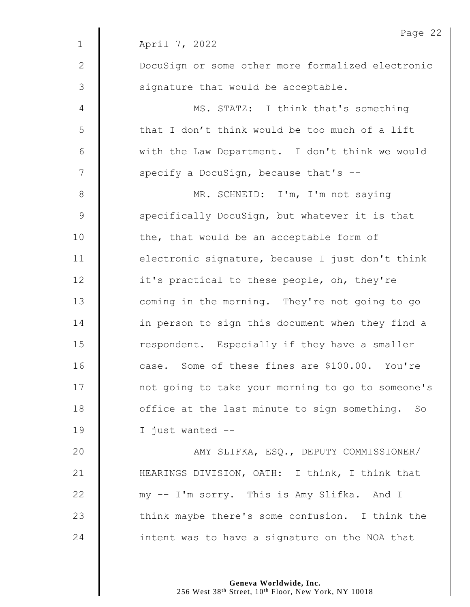|              | Page 22                                           |
|--------------|---------------------------------------------------|
| $\mathbf 1$  | April 7, 2022                                     |
| $\mathbf{2}$ | DocuSign or some other more formalized electronic |
| 3            | signature that would be acceptable.               |
| 4            | MS. STATZ: I think that's something               |
| 5            | that I don't think would be too much of a lift    |
| $6\,$        | with the Law Department. I don't think we would   |
| 7            | specify a DocuSign, because that's --             |
| $8\,$        | MR. SCHNEID: I'm, I'm not saying                  |
| $\mathsf 9$  | specifically DocuSign, but whatever it is that    |
| 10           | the, that would be an acceptable form of          |
| 11           | electronic signature, because I just don't think  |
| 12           | it's practical to these people, oh, they're       |
| 13           | coming in the morning. They're not going to go    |
| 14           | in person to sign this document when they find a  |
| 15           | respondent. Especially if they have a smaller     |
| 16           | case. Some of these fines are \$100.00. You're    |
| 17           | not going to take your morning to go to someone's |
| 18           | office at the last minute to sign something. So   |
| 19           | I just wanted --                                  |
| 20           | AMY SLIFKA, ESQ., DEPUTY COMMISSIONER/            |
| 21           | HEARINGS DIVISION, OATH: I think, I think that    |
| 22           | my -- I'm sorry. This is Amy Slifka. And I        |
| 23           | think maybe there's some confusion. I think the   |
| 24           | intent was to have a signature on the NOA that    |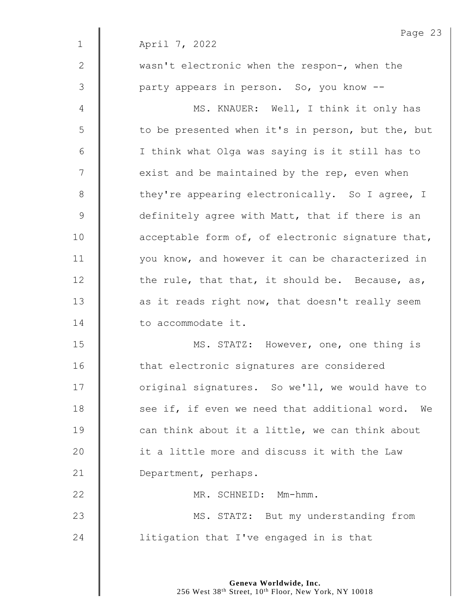| Page 23                                             |
|-----------------------------------------------------|
| April 7, 2022                                       |
| wasn't electronic when the respon-, when the        |
| party appears in person. So, you know --            |
| MS. KNAUER: Well, I think it only has               |
| to be presented when it's in person, but the, but   |
| I think what Olga was saying is it still has to     |
| exist and be maintained by the rep, even when       |
| they're appearing electronically. So I agree, I     |
| definitely agree with Matt, that if there is an     |
| acceptable form of, of electronic signature that,   |
| you know, and however it can be characterized in    |
| the rule, that that, it should be. Because, as,     |
| as it reads right now, that doesn't really seem     |
| to accommodate it.                                  |
| MS. STATZ: However, one, one thing is               |
| that electronic signatures are considered           |
| original signatures. So we'll, we would have to     |
| see if, if even we need that additional word.<br>We |
| can think about it a little, we can think about     |
| it a little more and discuss it with the Law        |
| Department, perhaps.                                |
| MR. SCHNEID: Mm-hmm.                                |
| MS. STATZ: But my understanding from                |
| litigation that I've engaged in is that             |
|                                                     |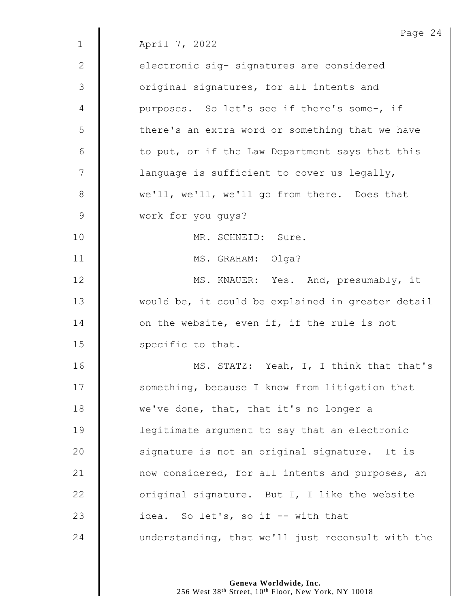|                | Page $24$                                         |
|----------------|---------------------------------------------------|
| $\mathbf 1$    | April 7, 2022                                     |
| $\mathbf{2}$   | electronic sig- signatures are considered         |
| 3              | original signatures, for all intents and          |
| $\overline{4}$ | purposes. So let's see if there's some-, if       |
| 5              | there's an extra word or something that we have   |
| $\sqrt{6}$     | to put, or if the Law Department says that this   |
| 7              | language is sufficient to cover us legally,       |
| $\,8\,$        | we'll, we'll, we'll go from there. Does that      |
| $\mathsf 9$    | work for you guys?                                |
| 10             | MR. SCHNEID: Sure.                                |
| 11             | MS. GRAHAM: Olga?                                 |
| 12             | MS. KNAUER: Yes. And, presumably, it              |
| 13             | would be, it could be explained in greater detail |
| 14             | on the website, even if, if the rule is not       |
| 15             | specific to that.                                 |
| 16             | MS. STATZ: Yeah, I, I think that that's           |
| 17             | something, because I know from litigation that    |
| 18             | we've done, that, that it's no longer a           |
| 19             | legitimate argument to say that an electronic     |
| 20             | signature is not an original signature. It is     |
| 21             | now considered, for all intents and purposes, an  |
| 22             | original signature. But I, I like the website     |
| 23             | idea. So let's, so if -- with that                |
| 24             | understanding, that we'll just reconsult with the |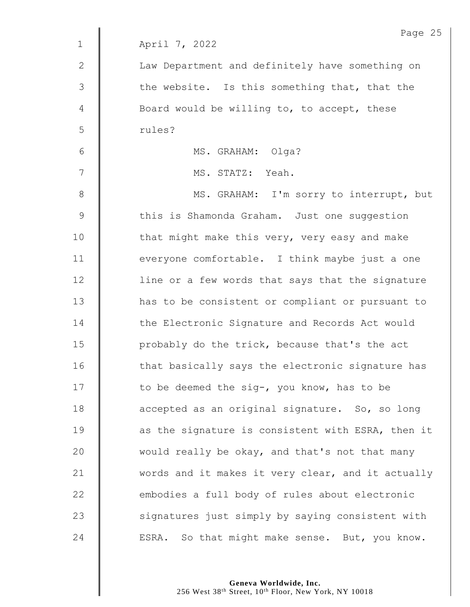|                | Page 25                                           |
|----------------|---------------------------------------------------|
| $\mathbf 1$    | April 7, 2022                                     |
| $\mathbf{2}$   | Law Department and definitely have something on   |
| 3              | the website. Is this something that, that the     |
| $\overline{4}$ | Board would be willing to, to accept, these       |
| 5              | rules?                                            |
| $\sqrt{6}$     | MS. GRAHAM: Olga?                                 |
| 7              | MS. STATZ: Yeah.                                  |
| $8\,$          | MS. GRAHAM: I'm sorry to interrupt, but           |
| $\mathsf 9$    | this is Shamonda Graham. Just one suggestion      |
| 10             | that might make this very, very easy and make     |
| 11             | everyone comfortable. I think maybe just a one    |
| 12             | line or a few words that says that the signature  |
| 13             | has to be consistent or compliant or pursuant to  |
| 14             | the Electronic Signature and Records Act would    |
| 15             | probably do the trick, because that's the act     |
| 16             | that basically says the electronic signature has  |
| 17             | to be deemed the sig-, you know, has to be        |
| 18             | accepted as an original signature. So, so long    |
| 19             | as the signature is consistent with ESRA, then it |
| 20             | would really be okay, and that's not that many    |
| 21             | words and it makes it very clear, and it actually |
| 22             | embodies a full body of rules about electronic    |
| 23             | signatures just simply by saying consistent with  |
| 24             | ESRA. So that might make sense. But, you know.    |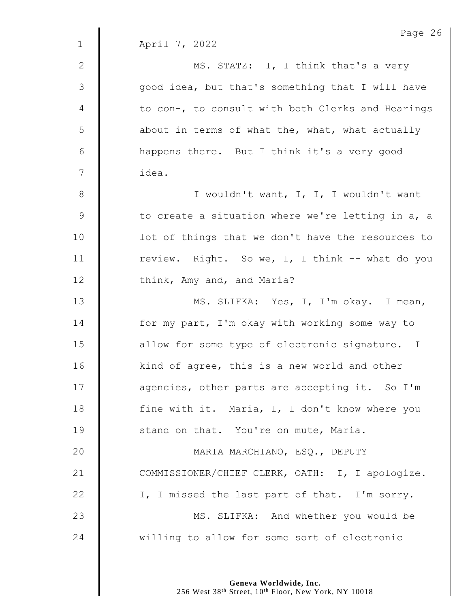|               | Page 26                                           |
|---------------|---------------------------------------------------|
| $\mathbf{1}$  | April 7, 2022                                     |
| $\mathbf{2}$  | MS. STATZ: I, I think that's a very               |
| 3             | good idea, but that's something that I will have  |
| 4             | to con-, to consult with both Clerks and Hearings |
| 5             | about in terms of what the, what, what actually   |
| 6             | happens there. But I think it's a very good       |
| 7             | idea.                                             |
| 8             | I wouldn't want, I, I, I wouldn't want            |
| $\mathcal{G}$ | to create a situation where we're letting in a, a |
| 10            | lot of things that we don't have the resources to |
| 11            | review. Right. So we, I, I think -- what do you   |
| 12            | think, Amy and, and Maria?                        |
| 13            | MS. SLIFKA: Yes, I, I'm okay. I mean,             |
| 14            | for my part, I'm okay with working some way to    |
| 15            | allow for some type of electronic signature. I    |
| 16            | kind of agree, this is a new world and other      |
| 17            | agencies, other parts are accepting it. So I'm    |
| 18            | fine with it. Maria, I, I don't know where you    |
| 19            | stand on that. You're on mute, Maria.             |
| 20            | MARIA MARCHIANO, ESQ., DEPUTY                     |
| 21            | COMMISSIONER/CHIEF CLERK, OATH: I, I apologize.   |
| 22            | I, I missed the last part of that. I'm sorry.     |
| 23            | MS. SLIFKA: And whether you would be              |
| 24            | willing to allow for some sort of electronic      |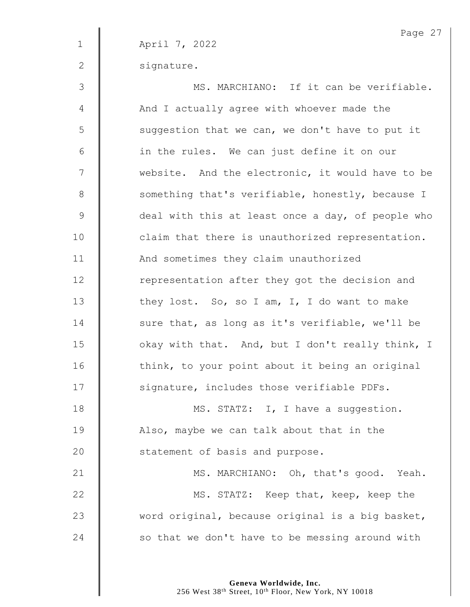Page 27 1 April 7, 2022 2 signature. 3 MS. MARCHIANO: If it can be verifiable. 4 | And I actually agree with whoever made the  $5 \parallel$  suggestion that we can, we don't have to put it  $6 \parallel$  in the rules. We can just define it on our 7 | website. And the electronic, it would have to be 8 Something that's verifiable, honestly, because I 9 deal with this at least once a day, of people who 10 | claim that there is unauthorized representation. 11 | And sometimes they claim unauthorized 12 Tepresentation after they got the decision and 13  $\parallel$  they lost. So, so I am, I, I do want to make 14 | sure that, as long as it's verifiable, we'll be 15 | okay with that. And, but I don't really think, I 16 | think, to your point about it being an original 17 | signature, includes those verifiable PDFs. 18 | MS. STATZ: I, I have a suggestion. 19 | Also, maybe we can talk about that in the 20 **Statement of basis and purpose.** 21 | MS. MARCHIANO: Oh, that's good. Yeah. 22 **MS. STATZ:** Keep that, keep, keep the 23  $\parallel$  word original, because original is a big basket, 24  $\parallel$  so that we don't have to be messing around with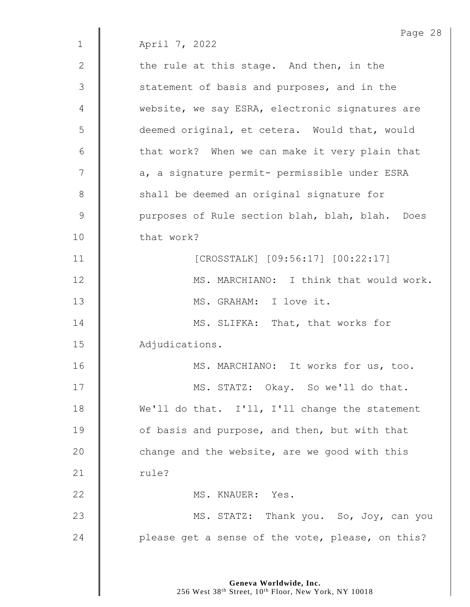Page 28 1 April 7, 2022 2  $\parallel$  the rule at this stage. And then, in the 3 | statement of basis and purposes, and in the 4 website, we say ESRA, electronic signatures are 5 | deemed original, et cetera. Would that, would  $6 \parallel$  that work? When we can make it very plain that 7 | a, a signature permit- permissible under ESRA 8 Shall be deemed an original signature for 9 | purposes of Rule section blah, blah, blah. Does 10 that work? 11 | CROSSTALK] [09:56:17] [00:22:17] 12 **MS. MARCHIANO:** I think that would work. 13 MS. GRAHAM: I love it. 14 MS. SLIFKA: That, that works for 15 | Adjudications. 16 **MS. MARCHIANO:** It works for us, too. 17 | MS. STATZ: Okay. So we'll do that. 18 We'll do that. I'll, I'll change the statement 19 **J** of basis and purpose, and then, but with that 20  $\parallel$  change and the website, are we good with this 21  $\parallel$  rule? 22 | MS. KNAUER: Yes. 23 **MS. STATZ:** Thank you. So, Joy, can you 24  $\parallel$  please get a sense of the vote, please, on this?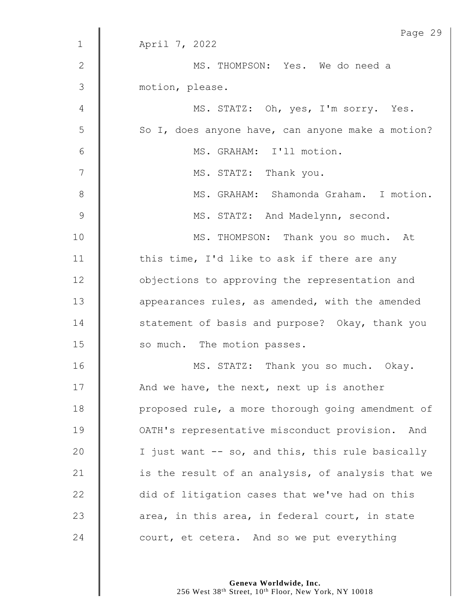|               | Page 29                                           |
|---------------|---------------------------------------------------|
| $\mathbf 1$   | April 7, 2022                                     |
| $\mathbf{2}$  | MS. THOMPSON: Yes. We do need a                   |
| 3             | motion, please.                                   |
| 4             | MS. STATZ: Oh, yes, I'm sorry. Yes.               |
| 5             | So I, does anyone have, can anyone make a motion? |
| 6             | MS. GRAHAM: I'll motion.                          |
| 7             | MS. STATZ: Thank you.                             |
| $8\,$         | MS. GRAHAM: Shamonda Graham. I motion.            |
| $\mathcal{G}$ | MS. STATZ: And Madelynn, second.                  |
| 10            | MS. THOMPSON: Thank you so much. At               |
| 11            | this time, I'd like to ask if there are any       |
| 12            | objections to approving the representation and    |
| 13            | appearances rules, as amended, with the amended   |
| 14            | statement of basis and purpose? Okay, thank you   |
| 15            | so much. The motion passes.                       |
| 16            | MS. STATZ: Thank you so much. Okay.               |
| 17            | And we have, the next, next up is another         |
| 18            | proposed rule, a more thorough going amendment of |
| 19            | OATH's representative misconduct provision. And   |
| 20            | I just want -- so, and this, this rule basically  |
| 21            | is the result of an analysis, of analysis that we |
| 22            | did of litigation cases that we've had on this    |
| 23            | area, in this area, in federal court, in state    |
| 24            | court, et cetera. And so we put everything        |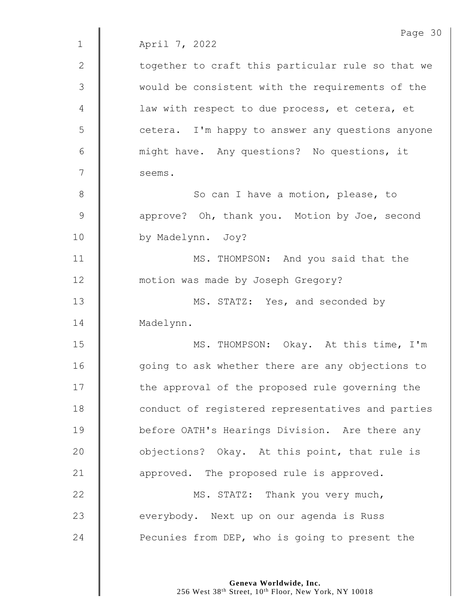|                | Page 30                                           |
|----------------|---------------------------------------------------|
| $\mathbf 1$    | April 7, 2022                                     |
| $\mathbf{2}$   | together to craft this particular rule so that we |
| 3              | would be consistent with the requirements of the  |
| $\overline{4}$ | law with respect to due process, et cetera, et    |
| 5              | cetera. I'm happy to answer any questions anyone  |
| 6              | might have. Any questions? No questions, it       |
| 7              | seems.                                            |
| 8              | So can I have a motion, please, to                |
| $\mathsf 9$    | approve? Oh, thank you. Motion by Joe, second     |
| 10             | by Madelynn. Joy?                                 |
| 11             | MS. THOMPSON: And you said that the               |
| 12             | motion was made by Joseph Gregory?                |
| 13             | MS. STATZ: Yes, and seconded by                   |
| 14             | Madelynn.                                         |
| 15             | MS. THOMPSON: Okay. At this time, I'm             |
| 16             | going to ask whether there are any objections to  |
| 17             | the approval of the proposed rule governing the   |
| 18             | conduct of registered representatives and parties |
| 19             | before OATH's Hearings Division. Are there any    |
| 20             | objections? Okay. At this point, that rule is     |
| 21             | approved. The proposed rule is approved.          |
| 22             | MS. STATZ: Thank you very much,                   |
| 23             | everybody. Next up on our agenda is Russ          |
| 24             | Pecunies from DEP, who is going to present the    |
|                |                                                   |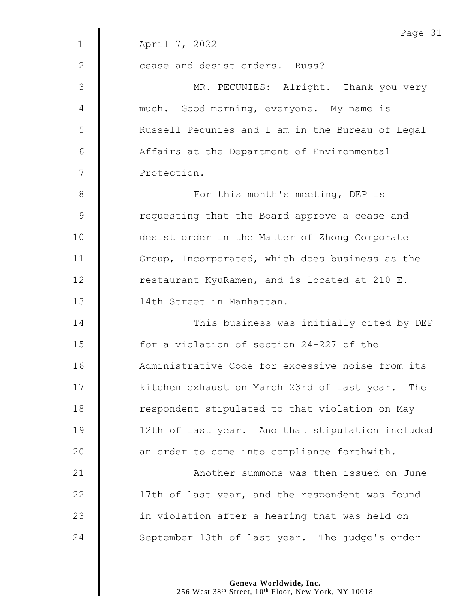|                | Page 31                                          |
|----------------|--------------------------------------------------|
| $\mathbf 1$    | April 7, 2022                                    |
| $\mathbf{2}$   | cease and desist orders. Russ?                   |
| 3              | MR. PECUNIES: Alright. Thank you very            |
| $\overline{4}$ | much. Good morning, everyone. My name is         |
| 5              | Russell Pecunies and I am in the Bureau of Legal |
| 6              | Affairs at the Department of Environmental       |
| 7              | Protection.                                      |
| $8\,$          | For this month's meeting, DEP is                 |
| $\mathsf 9$    | requesting that the Board approve a cease and    |
| 10             | desist order in the Matter of Zhong Corporate    |
| 11             | Group, Incorporated, which does business as the  |
| 12             | restaurant KyuRamen, and is located at 210 E.    |
| 13             | 14th Street in Manhattan.                        |
| 14             | This business was initially cited by DEP         |
| 15             | for a violation of section 24-227 of the         |
| 16             | Administrative Code for excessive noise from its |
| 17             | kitchen exhaust on March 23rd of last year. The  |
| 18             | respondent stipulated to that violation on May   |
| 19             | 12th of last year. And that stipulation included |
| 20             | an order to come into compliance forthwith.      |
| 21             | Another summons was then issued on June          |
| 22             | 17th of last year, and the respondent was found  |
| 23             | in violation after a hearing that was held on    |
| 24             | September 13th of last year. The judge's order   |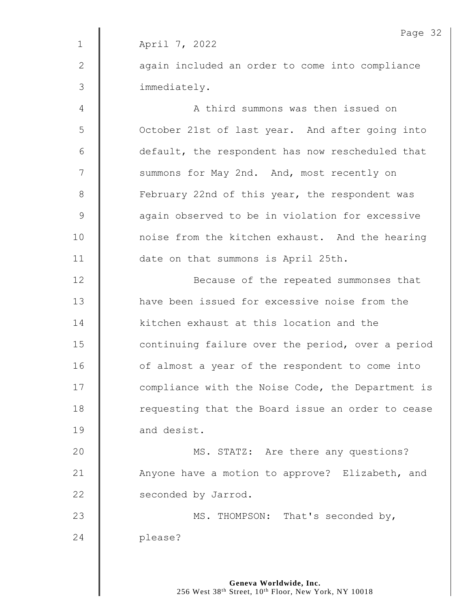Page 32 1 April 7, 2022 2 | again included an order to come into compliance 3 immediately. 4 | A third summons was then issued on 5 | October 21st of last year. And after going into  $6$   $\parallel$  default, the respondent has now rescheduled that 7 | summons for May 2nd. And, most recently on 8 **February 22nd of this year, the respondent was** 9 | again observed to be in violation for excessive 10 | noise from the kitchen exhaust. And the hearing 11 date on that summons is April 25th. 12 **Because of the repeated summonses that** 13 **H** have been issued for excessive noise from the 14 xitchen exhaust at this location and the 15 **deg 15** continuing failure over the period, over a period 16 | of almost a year of the respondent to come into 17 | compliance with the Noise Code, the Department is 18 | requesting that the Board issue an order to cease 19 **and desist.** 20 **MS. STATZ:** Are there any questions? 21 | Anyone have a motion to approve? Elizabeth, and 22 **Seconded by Jarrod.** 23 MS. THOMPSON: That's seconded by, 24 please?

> **Geneva Worldwide, Inc.** 256 West 38th Street, 10th Floor, New York, NY 10018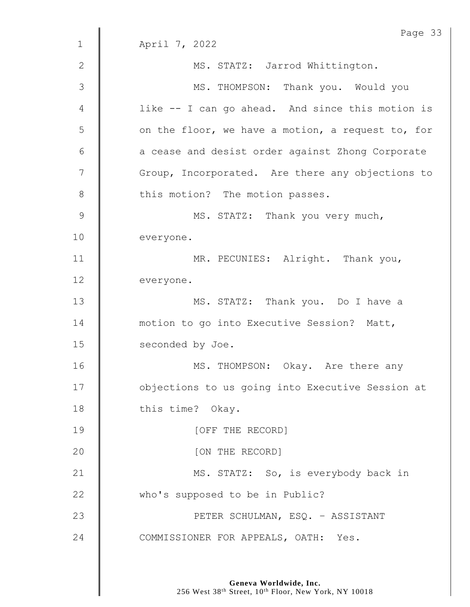Page 33 1 April 7, 2022 2 || MS. STATZ: Jarrod Whittington. 3 || MS. THOMPSON: Thank you. Would you 4 | like -- I can go ahead. And since this motion is 5 | on the floor, we have a motion, a request to, for  $6 \parallel$  a cease and desist order against Zhong Corporate 7 | Group, Incorporated. Are there any objections to 8 | this motion? The motion passes. 9 | MS. STATZ: Thank you very much, 10 **everyone.** 11 | MR. PECUNIES: Alright. Thank you, 12 everyone. 13 | MS. STATZ: Thank you. Do I have a 14 **motion** to go into Executive Session? Matt, 15 **Seconded by Joe.** 16 | MS. THOMPSON: Okay. Are there any 17 | objections to us going into Executive Session at 18 this time? Okay. 19 COFF THE RECORD] 20 **I** [ON THE RECORD] 21 | MS. STATZ: So, is everybody back in 22 **Who's supposed to be in Public?** 23 PETER SCHULMAN, ESQ. – ASSISTANT 24 COMMISSIONER FOR APPEALS, OATH: Yes.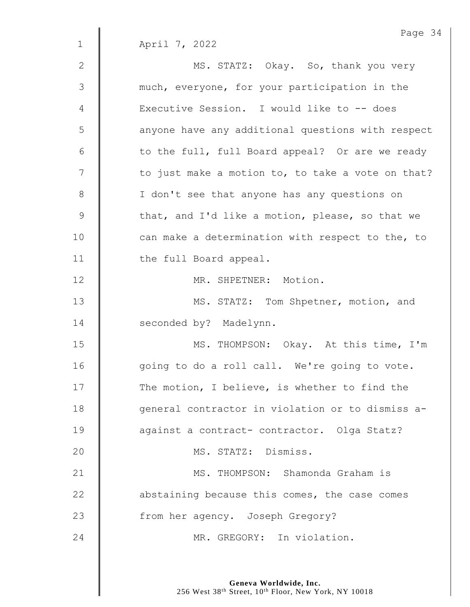|                | Page 34                                           |
|----------------|---------------------------------------------------|
| $\mathbf 1$    | April 7, 2022                                     |
| 2              | MS. STATZ: Okay. So, thank you very               |
| 3              | much, everyone, for your participation in the     |
| $\overline{4}$ | Executive Session. I would like to -- does        |
| 5              | anyone have any additional questions with respect |
| 6              | to the full, full Board appeal? Or are we ready   |
| $\overline{7}$ | to just make a motion to, to take a vote on that? |
| $\,8\,$        | I don't see that anyone has any questions on      |
| $\mathcal{G}$  | that, and I'd like a motion, please, so that we   |
| 10             | can make a determination with respect to the, to  |
| 11             | the full Board appeal.                            |
| 12             | MR. SHPETNER: Motion.                             |
| 13             | MS. STATZ: Tom Shpetner, motion, and              |
| 14             | seconded by? Madelynn.                            |
| 15             | MS. THOMPSON: Okay. At this time, I'm             |
| 16             | going to do a roll call. We're going to vote.     |
| 17             | The motion, I believe, is whether to find the     |
| 18             | general contractor in violation or to dismiss a-  |
| 19             | against a contract- contractor. Olga Statz?       |
| 20             | MS. STATZ: Dismiss.                               |
| 21             | MS. THOMPSON: Shamonda Graham is                  |
| 22             | abstaining because this comes, the case comes     |
| 23             | from her agency. Joseph Gregory?                  |
| 24             | MR. GREGORY: In violation.                        |
|                |                                                   |

Page 34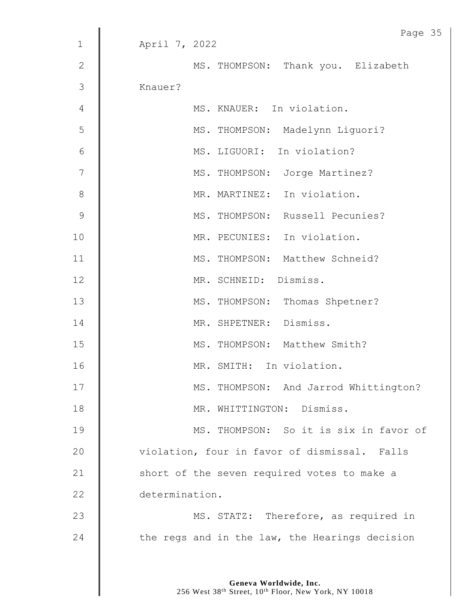|                | Page 35                                        |
|----------------|------------------------------------------------|
| $\mathbf 1$    | April 7, 2022                                  |
| $\mathbf{2}$   | MS. THOMPSON: Thank you. Elizabeth             |
| 3              | Knauer?                                        |
| $\overline{4}$ | MS. KNAUER: In violation.                      |
| 5              | MS. THOMPSON: Madelynn Liquori?                |
| $\sqrt{6}$     | MS. LIGUORI: In violation?                     |
| $\overline{7}$ | MS. THOMPSON: Jorge Martinez?                  |
| $8\,$          | MR. MARTINEZ: In violation.                    |
| $\mathcal{G}$  | MS. THOMPSON: Russell Pecunies?                |
| 10             | MR. PECUNIES: In violation.                    |
| 11             | MS. THOMPSON: Matthew Schneid?                 |
| 12             | MR. SCHNEID: Dismiss.                          |
| 13             | MS. THOMPSON: Thomas Shpetner?                 |
| 14             | MR. SHPETNER: Dismiss.                         |
| 15             | MS. THOMPSON: Matthew Smith?                   |
| 16             | MR. SMITH: In violation.                       |
| 17             | MS. THOMPSON: And Jarrod Whittington?          |
| 18             | MR. WHITTINGTON: Dismiss.                      |
| 19             | MS. THOMPSON: So it is six in favor of         |
| 20             | violation, four in favor of dismissal. Falls   |
| 21             | short of the seven required votes to make a    |
| 22             | determination.                                 |
| 23             | MS. STATZ: Therefore, as required in           |
| 24             | the regs and in the law, the Hearings decision |
|                |                                                |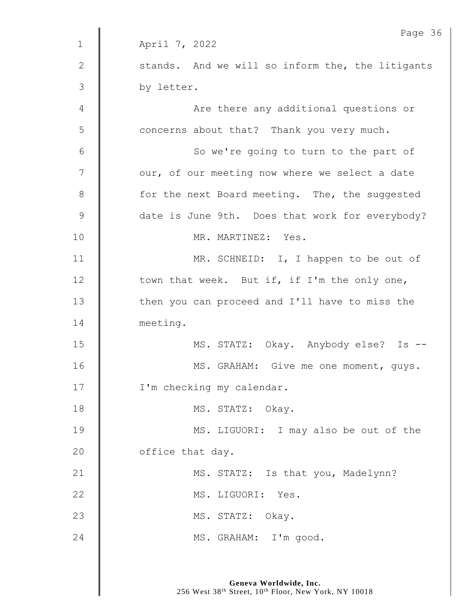|               | Page 36                                          |
|---------------|--------------------------------------------------|
| $\mathbf 1$   | April 7, 2022                                    |
| $\mathbf{2}$  | stands. And we will so inform the, the litigants |
| 3             | by letter.                                       |
| 4             | Are there any additional questions or            |
| 5             | concerns about that? Thank you very much.        |
| 6             | So we're going to turn to the part of            |
| 7             | our, of our meeting now where we select a date   |
| $\,8\,$       | for the next Board meeting. The, the suggested   |
| $\mathcal{G}$ | date is June 9th. Does that work for everybody?  |
| 10            | MR. MARTINEZ: Yes.                               |
| 11            | MR. SCHNEID: I, I happen to be out of            |
| 12            | town that week. But if, if I'm the only one,     |
| 13            | then you can proceed and I'll have to miss the   |
| 14            | meeting.                                         |
| 15            | MS. STATZ: Okay. Anybody else? Is --             |
| 16            | MS. GRAHAM: Give me one moment, guys.            |
| 17            | I'm checking my calendar.                        |
| 18            | MS. STATZ: Okay.                                 |
| 19            | MS. LIGUORI: I may also be out of the            |
| 20            | office that day.                                 |
| 21            | MS. STATZ: Is that you, Madelynn?                |
| 22            | MS. LIGUORI: Yes.                                |
| 23            | MS. STATZ: Okay.                                 |
| 24            | MS. GRAHAM: I'm good.                            |
|               |                                                  |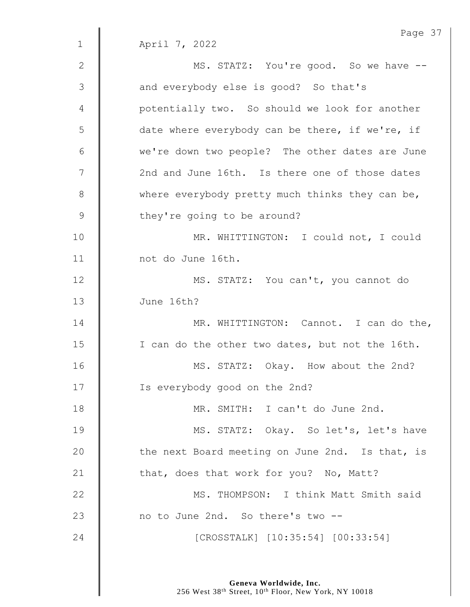|                | Page 37                                         |
|----------------|-------------------------------------------------|
| $\mathbf 1$    | April 7, 2022                                   |
| $\mathbf{2}$   | MS. STATZ: You're good. So we have --           |
| $\mathfrak{Z}$ | and everybody else is good? So that's           |
| 4              | potentially two. So should we look for another  |
| 5              | date where everybody can be there, if we're, if |
| 6              | we're down two people? The other dates are June |
| 7              | 2nd and June 16th. Is there one of those dates  |
| $8\,$          | where everybody pretty much thinks they can be, |
| $\mathsf 9$    | they're going to be around?                     |
| 10             | MR. WHITTINGTON: I could not, I could           |
| 11             | not do June 16th.                               |
| 12             | MS. STATZ: You can't, you cannot do             |
| 13             | June 16th?                                      |
| 14             | MR. WHITTINGTON: Cannot. I can do the,          |
| 15             | I can do the other two dates, but not the 16th. |
| 16             | MS. STATZ: Okay. How about the 2nd?             |
| 17             | Is everybody good on the 2nd?                   |
| 18             | MR. SMITH: I can't do June 2nd.                 |
| 19             | MS. STATZ: Okay. So let's, let's have           |
| 20             | the next Board meeting on June 2nd. Is that, is |
| 21             | that, does that work for you? No, Matt?         |
| 22             | MS. THOMPSON: I think Matt Smith said           |
| 23             | no to June 2nd. So there's two --               |
| 24             | [CROSSTALK] [10:35:54] [00:33:54]               |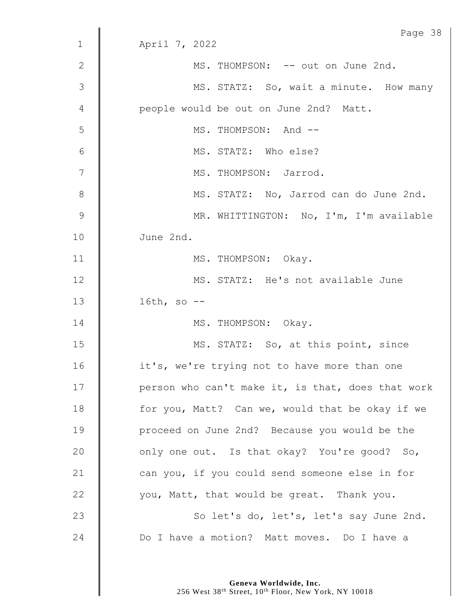|              | Page 38                                           |
|--------------|---------------------------------------------------|
| $\mathbf{1}$ | April 7, 2022                                     |
| $\mathbf{2}$ | MS. THOMPSON: -- out on June 2nd.                 |
| 3            | MS. STATZ: So, wait a minute. How many            |
| 4            | people would be out on June 2nd? Matt.            |
| 5            | MS. THOMPSON: And --                              |
| 6            | MS. STATZ: Who else?                              |
| 7            | MS. THOMPSON: Jarrod.                             |
| 8            | MS. STATZ: No, Jarrod can do June 2nd.            |
| 9            | MR. WHITTINGTON: No, I'm, I'm available           |
| 10           | June 2nd.                                         |
| 11           | MS. THOMPSON: Okay.                               |
| 12           | MS. STATZ: He's not available June                |
| 13           | 16th, so $-$ -                                    |
| 14           | MS. THOMPSON: Okay.                               |
| 15           | MS. STATZ: So, at this point, since               |
| 16           | it's, we're trying not to have more than one      |
| 17           | person who can't make it, is that, does that work |
| 18           | for you, Matt? Can we, would that be okay if we   |
| 19           | proceed on June 2nd? Because you would be the     |
| 20           | only one out. Is that okay? You're good? So,      |
| 21           | can you, if you could send someone else in for    |
| 22           | you, Matt, that would be great. Thank you.        |
| 23           | So let's do, let's, let's say June 2nd.           |
| 24           | Do I have a motion? Matt moves. Do I have a       |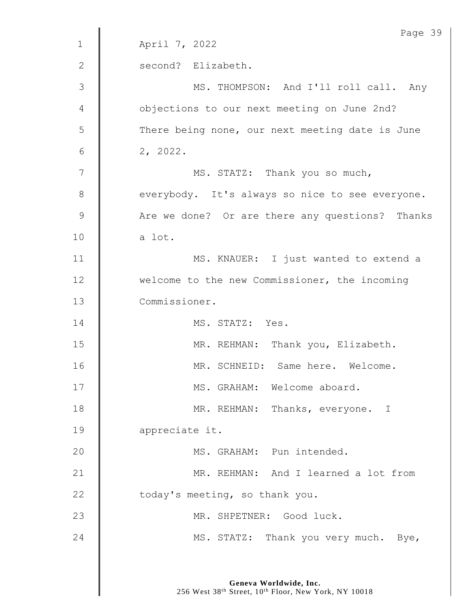|               | Page 3!                                         |
|---------------|-------------------------------------------------|
| $\mathbf 1$   | April 7, 2022                                   |
| $\mathbf{2}$  | second? Elizabeth.                              |
| 3             | MS. THOMPSON: And I'll roll call. Any           |
| 4             | objections to our next meeting on June 2nd?     |
| 5             | There being none, our next meeting date is June |
| 6             | 2, 2022.                                        |
| 7             | MS. STATZ: Thank you so much,                   |
| 8             | everybody. It's always so nice to see everyone. |
| $\mathcal{G}$ | Are we done? Or are there any questions? Thanks |
| 10            | a lot.                                          |
| 11            | MS. KNAUER: I just wanted to extend a           |
| 12            | welcome to the new Commissioner, the incoming   |
| 13            | Commissioner.                                   |
| 14            | MS. STATZ: Yes.                                 |
| 15            | MR. REHMAN: Thank you, Elizabeth.               |
| 16            | MR. SCHNEID: Same here. Welcome.                |
| 17            | MS. GRAHAM: Welcome aboard.                     |
| 18            | MR. REHMAN: Thanks, everyone. I                 |
| 19            | appreciate it.                                  |
| 20            | MS. GRAHAM: Pun intended.                       |
| 21            | MR. REHMAN: And I learned a lot from            |
| 22            | today's meeting, so thank you.                  |
| 23            | MR. SHPETNER: Good luck.                        |
| 24            | MS. STATZ: Thank you very much. Bye,            |
|               |                                                 |

Page 39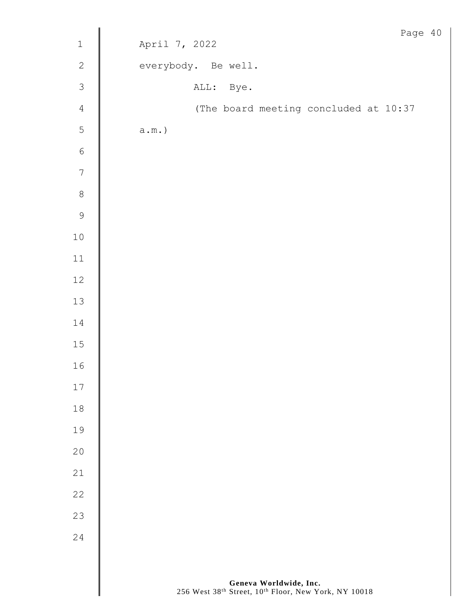|                |                                       | Page 40 |  |
|----------------|---------------------------------------|---------|--|
| $\mathbbm{1}$  | April 7, 2022                         |         |  |
| $\overline{c}$ | everybody. Be well.                   |         |  |
| $\mathfrak{Z}$ | ALL: Bye.                             |         |  |
| $\overline{4}$ | (The board meeting concluded at 10:37 |         |  |
| $\overline{5}$ | $\texttt{a.m.})$                      |         |  |
| $\overline{6}$ |                                       |         |  |
| $\overline{7}$ |                                       |         |  |
| 8              |                                       |         |  |
| 9              |                                       |         |  |
| $10$           |                                       |         |  |
| $11\,$         |                                       |         |  |
| $12\,$         |                                       |         |  |
| $13$           |                                       |         |  |
| $14\,$         |                                       |         |  |
| $15$           |                                       |         |  |
| 16             |                                       |         |  |
| $17\,$         |                                       |         |  |
| $1\,8$         |                                       |         |  |
| 19             |                                       |         |  |
| $20$           |                                       |         |  |
| 21             |                                       |         |  |
| 22             |                                       |         |  |
| 23             |                                       |         |  |
| 24             |                                       |         |  |
|                |                                       |         |  |